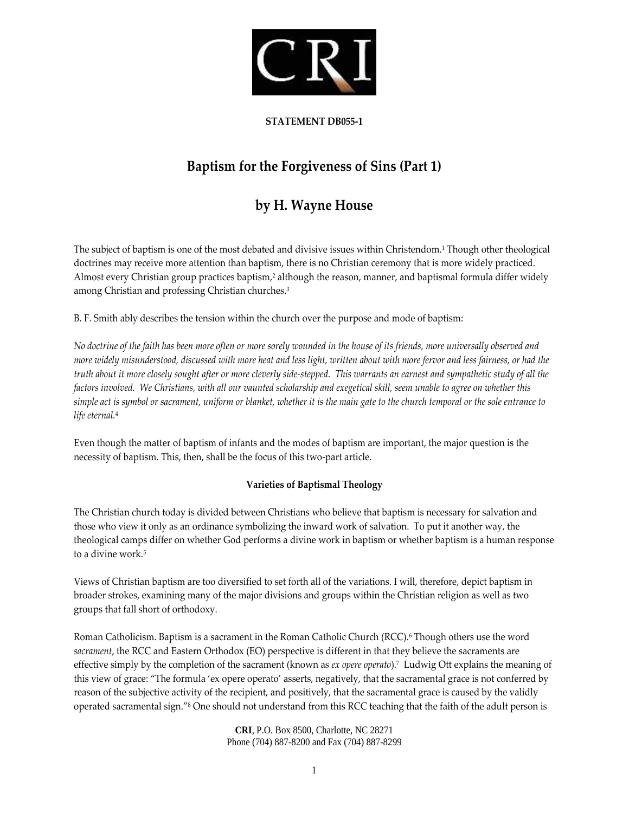

### **STATEMENT DB055‐1**

# **Baptism for the Forgiveness of Sins (Part 1)**

## **by H. Wayne House**

The subject of baptism is one of the most debated and divisive issues within Christendom.1 Though other theological doctrines may receive more attention than baptism, there is no Christian ceremony that is more widely practiced. Almost every Christian group practices baptism,<sup>2</sup> although the reason, manner, and baptismal formula differ widely among Christian and professing Christian churches.3

B. F. Smith ably describes the tension within the church over the purpose and mode of baptism:

No doctrine of the faith has been more often or more sorely wounded in the house of its friends, more universally observed and more widely misunderstood, discussed with more heat and less light, written about with more fervor and less fairness, or had the truth about it more closely sought after or more cleverly side-stepped. This warrants an earnest and sympathetic study of all the factors involved. We Christians, with all our vaunted scholarship and exegetical skill, seem unable to agree on whether this simple act is symbol or sacrament, uniform or blanket, whether it is the main gate to the church temporal or the sole entrance to *life eternal.*<sup>4</sup>

Even though the matter of baptism of infants and the modes of baptism are important, the major question is the necessity of baptism. This, then, shall be the focus of this two‐part article.

#### **Varieties of Baptismal Theology**

The Christian church today is divided between Christians who believe that baptism is necessary for salvation and those who view it only as an ordinance symbolizing the inward work of salvation. To put it another way, the theological camps differ on whether God performs a divine work in baptism or whether baptism is a human response to a divine work.<sup>5</sup>

Views of Christian baptism are too diversified to set forth all of the variations. I will, therefore, depict baptism in broader strokes, examining many of the major divisions and groups within the Christian religion as well as two groups that fall short of orthodoxy.

Roman Catholicism. Baptism is a sacrament in the Roman Catholic Church (RCC).6 Though others use the word *sacrament*, the RCC and Eastern Orthodox (EO) perspective is different in that they believe the sacraments are effective simply by the completion of the sacrament (known as *ex opere operato*).7 Ludwig Ott explains the meaning of this view of grace: "The formula 'ex opere operato' asserts, negatively, that the sacramental grace is not conferred by reason of the subjective activity of the recipient, and positively, that the sacramental grace is caused by the validly operated sacramental sign."8 One should not understand from this RCC teaching that the faith of the adult person is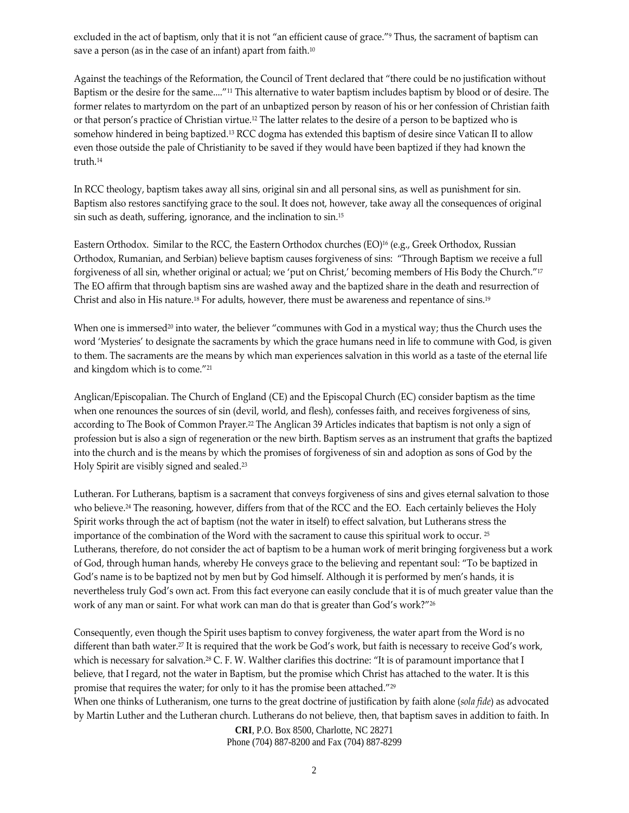excluded in the act of baptism, only that it is not "an efficient cause of grace."9 Thus, the sacrament of baptism can save a person (as in the case of an infant) apart from faith.<sup>10</sup>

Against the teachings of the Reformation, the Council of Trent declared that "there could be no justification without Baptism or the desire for the same...."11 This alternative to water baptism includes baptism by blood or of desire. The former relates to martyrdom on the part of an unbaptized person by reason of his or her confession of Christian faith or that person's practice of Christian virtue.12 The latter relates to the desire of a person to be baptized who is somehow hindered in being baptized.13 RCC dogma has extended this baptism of desire since Vatican II to allow even those outside the pale of Christianity to be saved if they would have been baptized if they had known the truth.14

In RCC theology, baptism takes away all sins, original sin and all personal sins, as well as punishment for sin. Baptism also restores sanctifying grace to the soul. It does not, however, take away all the consequences of original sin such as death, suffering, ignorance, and the inclination to sin.15

Eastern Orthodox. Similar to the RCC, the Eastern Orthodox churches (EO)16 (e.g., Greek Orthodox, Russian Orthodox, Rumanian, and Serbian) believe baptism causes forgiveness of sins: "Through Baptism we receive a full forgiveness of all sin, whether original or actual; we 'put on Christ,' becoming members of His Body the Church."17 The EO affirm that through baptism sins are washed away and the baptized share in the death and resurrection of Christ and also in His nature.18 For adults, however, there must be awareness and repentance of sins.19

When one is immersed<sup>20</sup> into water, the believer "communes with God in a mystical way; thus the Church uses the word 'Mysteries' to designate the sacraments by which the grace humans need in life to commune with God, is given to them. The sacraments are the means by which man experiences salvation in this world as a taste of the eternal life and kingdom which is to come."21

Anglican/Episcopalian. The Church of England (CE) and the Episcopal Church (EC) consider baptism as the time when one renounces the sources of sin (devil, world, and flesh), confesses faith, and receives forgiveness of sins, according to The Book of Common Prayer.22 The Anglican 39 Articles indicates that baptism is not only a sign of profession but is also a sign of regeneration or the new birth. Baptism serves as an instrument that grafts the baptized into the church and is the means by which the promises of forgiveness of sin and adoption as sons of God by the Holy Spirit are visibly signed and sealed.23

Lutheran. For Lutherans, baptism is a sacrament that conveys forgiveness of sins and gives eternal salvation to those who believe.<sup>24</sup> The reasoning, however, differs from that of the RCC and the EO. Each certainly believes the Holy Spirit works through the act of baptism (not the water in itself) to effect salvation, but Lutherans stress the importance of the combination of the Word with the sacrament to cause this spiritual work to occur. <sup>25</sup> Lutherans, therefore, do not consider the act of baptism to be a human work of merit bringing forgiveness but a work of God, through human hands, whereby He conveys grace to the believing and repentant soul: "To be baptized in God's name is to be baptized not by men but by God himself. Although it is performed by men's hands, it is nevertheless truly God's own act. From this fact everyone can easily conclude that it is of much greater value than the work of any man or saint. For what work can man do that is greater than God's work?"<sup>26</sup>

Consequently, even though the Spirit uses baptism to convey forgiveness, the water apart from the Word is no different than bath water.27 It is required that the work be God's work, but faith is necessary to receive God's work, which is necessary for salvation.<sup>28</sup> C. F. W. Walther clarifies this doctrine: "It is of paramount importance that I believe, that I regard, not the water in Baptism, but the promise which Christ has attached to the water. It is this promise that requires the water; for only to it has the promise been attached."29

When one thinks of Lutheranism, one turns to the great doctrine of justification by faith alone (*sola fide*) as advocated by Martin Luther and the Lutheran church. Lutherans do not believe, then, that baptism saves in addition to faith. In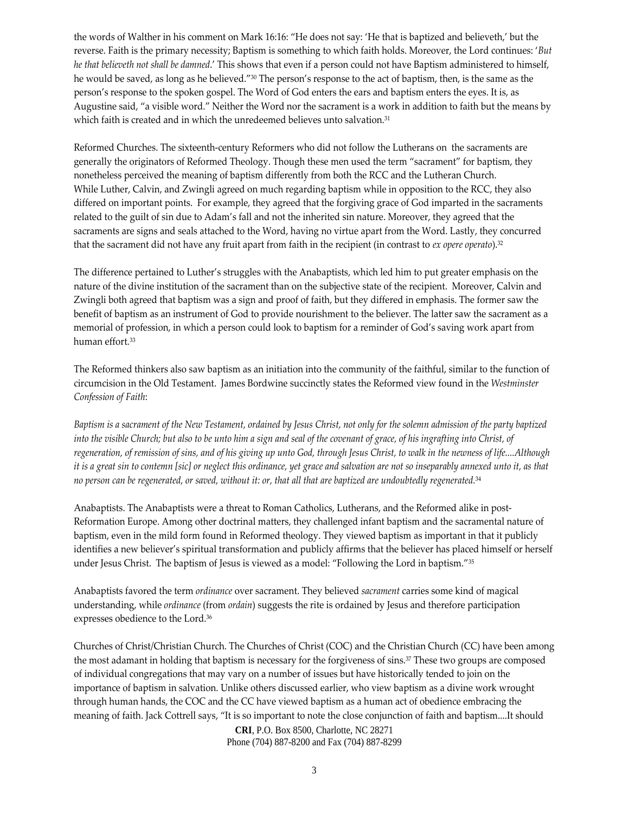the words of Walther in his comment on Mark 16:16: "He does not say: 'He that is baptized and believeth,' but the reverse. Faith is the primary necessity; Baptism is something to which faith holds. Moreover, the Lord continues: '*But he that believeth not shall be damned*.' This shows that even if a person could not have Baptism administered to himself, he would be saved, as long as he believed."30 The person's response to the act of baptism, then, is the same as the person's response to the spoken gospel. The Word of God enters the ears and baptism enters the eyes. It is, as Augustine said, "a visible word." Neither the Word nor the sacrament is a work in addition to faith but the means by which faith is created and in which the unredeemed believes unto salvation.<sup>31</sup>

Reformed Churches. The sixteenth‐century Reformers who did not follow the Lutherans on the sacraments are generally the originators of Reformed Theology. Though these men used the term "sacrament" for baptism, they nonetheless perceived the meaning of baptism differently from both the RCC and the Lutheran Church. While Luther, Calvin, and Zwingli agreed on much regarding baptism while in opposition to the RCC, they also differed on important points. For example, they agreed that the forgiving grace of God imparted in the sacraments related to the guilt of sin due to Adam's fall and not the inherited sin nature. Moreover, they agreed that the sacraments are signs and seals attached to the Word, having no virtue apart from the Word. Lastly, they concurred that the sacrament did not have any fruit apart from faith in the recipient (in contrast to *ex opere operato*).32

The difference pertained to Luther's struggles with the Anabaptists, which led him to put greater emphasis on the nature of the divine institution of the sacrament than on the subjective state of the recipient. Moreover, Calvin and Zwingli both agreed that baptism was a sign and proof of faith, but they differed in emphasis. The former saw the benefit of baptism as an instrument of God to provide nourishment to the believer. The latter saw the sacrament as a memorial of profession, in which a person could look to baptism for a reminder of God's saving work apart from human effort.33

The Reformed thinkers also saw baptism as an initiation into the community of the faithful, similar to the function of circumcision in the Old Testament. James Bordwine succinctly states the Reformed view found in the *Westminster Confession of Faith*:

Baptism is a sacrament of the New Testament, ordained by Jesus Christ, not only for the solemn admission of the party baptized into the visible Church; but also to be unto him a sign and seal of the covenant of grace, of his ingrafting into Christ, of regeneration, of remission of sins, and of his giving up unto God, through Jesus Christ, to walk in the newness of life....Although it is a great sin to contemn [sic] or neglect this ordinance, yet grace and salvation are not so inseparably annexed unto it, as that no person can be regenerated, or saved, without it: or, that all that are baptized are undoubtedly regenerated.<sup>34</sup>

Anabaptists. The Anabaptists were a threat to Roman Catholics, Lutherans, and the Reformed alike in post‐ Reformation Europe. Among other doctrinal matters, they challenged infant baptism and the sacramental nature of baptism, even in the mild form found in Reformed theology. They viewed baptism as important in that it publicly identifies a new believer's spiritual transformation and publicly affirms that the believer has placed himself or herself under Jesus Christ. The baptism of Jesus is viewed as a model: "Following the Lord in baptism."35

Anabaptists favored the term *ordinance* over sacrament. They believed *sacrament* carries some kind of magical understanding, while *ordinance* (from *ordain*) suggests the rite is ordained by Jesus and therefore participation expresses obedience to the Lord.36

Churches of Christ/Christian Church. The Churches of Christ (COC) and the Christian Church (CC) have been among the most adamant in holding that baptism is necessary for the forgiveness of sins.37 These two groups are composed of individual congregations that may vary on a number of issues but have historically tended to join on the importance of baptism in salvation. Unlike others discussed earlier, who view baptism as a divine work wrought through human hands, the COC and the CC have viewed baptism as a human act of obedience embracing the meaning of faith. Jack Cottrell says, "It is so important to note the close conjunction of faith and baptism....It should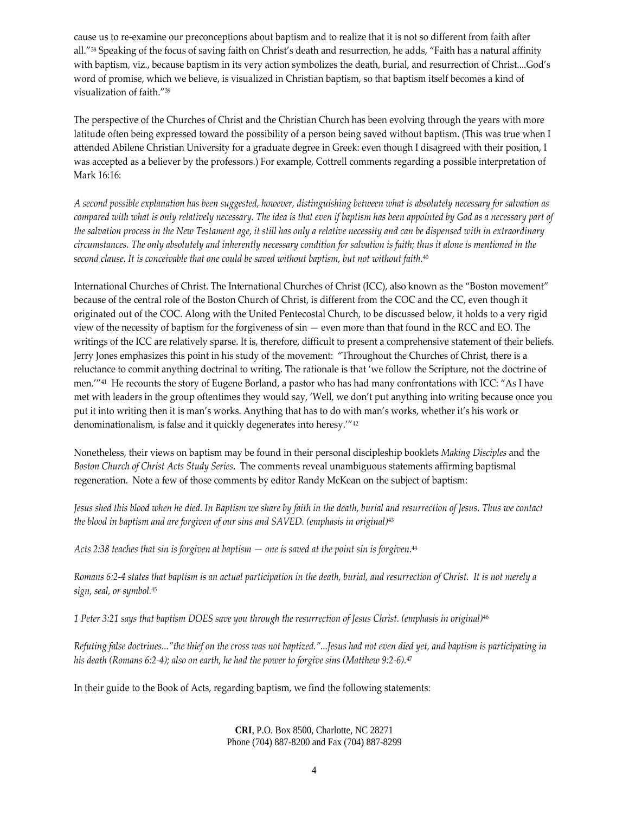cause us to re‐examine our preconceptions about baptism and to realize that it is not so different from faith after all."38 Speaking of the focus of saving faith on Christ's death and resurrection, he adds, "Faith has a natural affinity with baptism, viz., because baptism in its very action symbolizes the death, burial, and resurrection of Christ....God's word of promise, which we believe, is visualized in Christian baptism, so that baptism itself becomes a kind of visualization of faith."39

The perspective of the Churches of Christ and the Christian Church has been evolving through the years with more latitude often being expressed toward the possibility of a person being saved without baptism. (This was true when I attended Abilene Christian University for a graduate degree in Greek: even though I disagreed with their position, I was accepted as a believer by the professors.) For example, Cottrell comments regarding a possible interpretation of Mark 16:16:

A second possible explanation has been suggested, however, distinguishing between what is absolutely necessary for salvation as compared with what is only relatively necessary. The idea is that even if baptism has been appointed by God as a necessary part of the salvation process in the New Testament age, it still has only a relative necessity and can be dispensed with in extraordinary circumstances. The only absolutely and inherently necessary condition for salvation is faith; thus it alone is mentioned in the *second clause. It is conceivable that one could be saved without baptism, but not without faith.*<sup>40</sup>

International Churches of Christ. The International Churches of Christ (ICC), also known as the "Boston movement" because of the central role of the Boston Church of Christ, is different from the COC and the CC, even though it originated out of the COC. Along with the United Pentecostal Church, to be discussed below, it holds to a very rigid view of the necessity of baptism for the forgiveness of sin — even more than that found in the RCC and EO. The writings of the ICC are relatively sparse. It is, therefore, difficult to present a comprehensive statement of their beliefs. Jerry Jones emphasizes this point in his study of the movement: "Throughout the Churches of Christ, there is a reluctance to commit anything doctrinal to writing. The rationale is that 'we follow the Scripture, not the doctrine of men.'"41 He recounts the story of Eugene Borland, a pastor who has had many confrontations with ICC: "As I have met with leaders in the group oftentimes they would say, 'Well, we don't put anything into writing because once you put it into writing then it is man's works. Anything that has to do with man's works, whether it's his work or denominationalism, is false and it quickly degenerates into heresy.'"42

Nonetheless, their views on baptism may be found in their personal discipleship booklets *Making Disciples* and the *Boston Church of Christ Acts Study Series*. The comments reveal unambiguous statements affirming baptismal regeneration. Note a few of those comments by editor Randy McKean on the subject of baptism:

Jesus shed this blood when he died. In Baptism we share by faith in the death, burial and resurrection of Jesus. Thus we contact *the blood in baptism and are forgiven of our sins and SAVED. (emphasis in original)*<sup>43</sup>

Acts 2:38 teaches that sin is forgiven at baptism  $-$  one is saved at the point sin is forgiven.<sup>44</sup>

Romans 6:2-4 states that baptism is an actual participation in the death, burial, and resurrection of Christ. It is not merely a *sign, seal, or symbol.*<sup>45</sup>

1 Peter 3:21 says that baptism DOES save you through the resurrection of Jesus Christ. (emphasis in original)<sup>46</sup>

Refuting false doctrines..."the thief on the cross was not baptized."...Jesus had not even died yet, and baptism is participating in his death (Romans 6:2-4); also on earth, he had the power to forgive sins (Matthew 9:2-6). $47$ 

In their guide to the Book of Acts, regarding baptism, we find the following statements: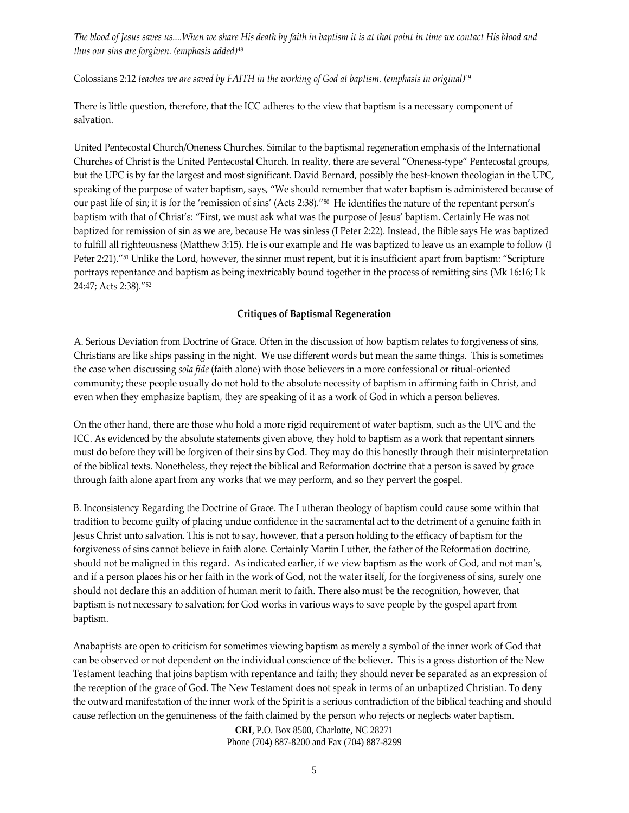The blood of Jesus saves us....When we share His death by faith in baptism it is at that point in time we contact His blood and *thus our sins are forgiven. (emphasis added)*<sup>48</sup>

Colossians 2:12 *teaches we are saved by FAITH in the working of God at baptism. (emphasis in original)*<sup>49</sup>

There is little question, therefore, that the ICC adheres to the view that baptism is a necessary component of salvation.

United Pentecostal Church/Oneness Churches. Similar to the baptismal regeneration emphasis of the International Churches of Christ is the United Pentecostal Church. In reality, there are several "Oneness‐type" Pentecostal groups, but the UPC is by far the largest and most significant. David Bernard, possibly the best-known theologian in the UPC, speaking of the purpose of water baptism, says, "We should remember that water baptism is administered because of our past life of sin; it is for the 'remission of sins' (Acts 2:38)."50 He identifies the nature of the repentant person's baptism with that of Christ's: "First, we must ask what was the purpose of Jesus' baptism. Certainly He was not baptized for remission of sin as we are, because He was sinless (I Peter 2:22). Instead, the Bible says He was baptized to fulfill all righteousness (Matthew 3:15). He is our example and He was baptized to leave us an example to follow (I Peter 2:21)."51 Unlike the Lord, however, the sinner must repent, but it is insufficient apart from baptism: "Scripture portrays repentance and baptism as being inextricably bound together in the process of remitting sins (Mk 16:16; Lk 24:47; Acts 2:38)."52

#### **Critiques of Baptismal Regeneration**

A. Serious Deviation from Doctrine of Grace. Often in the discussion of how baptism relates to forgiveness of sins, Christians are like ships passing in the night. We use different words but mean the same things. This is sometimes the case when discussing *sola fide* (faith alone) with those believers in a more confessional or ritual‐oriented community; these people usually do not hold to the absolute necessity of baptism in affirming faith in Christ, and even when they emphasize baptism, they are speaking of it as a work of God in which a person believes.

On the other hand, there are those who hold a more rigid requirement of water baptism, such as the UPC and the ICC. As evidenced by the absolute statements given above, they hold to baptism as a work that repentant sinners must do before they will be forgiven of their sins by God. They may do this honestly through their misinterpretation of the biblical texts. Nonetheless, they reject the biblical and Reformation doctrine that a person is saved by grace through faith alone apart from any works that we may perform, and so they pervert the gospel.

B. Inconsistency Regarding the Doctrine of Grace. The Lutheran theology of baptism could cause some within that tradition to become guilty of placing undue confidence in the sacramental act to the detriment of a genuine faith in Jesus Christ unto salvation. This is not to say, however, that a person holding to the efficacy of baptism for the forgiveness of sins cannot believe in faith alone. Certainly Martin Luther, the father of the Reformation doctrine, should not be maligned in this regard. As indicated earlier, if we view baptism as the work of God, and not man's, and if a person places his or her faith in the work of God, not the water itself, for the forgiveness of sins, surely one should not declare this an addition of human merit to faith. There also must be the recognition, however, that baptism is not necessary to salvation; for God works in various ways to save people by the gospel apart from baptism.

Anabaptists are open to criticism for sometimes viewing baptism as merely a symbol of the inner work of God that can be observed or not dependent on the individual conscience of the believer. This is a gross distortion of the New Testament teaching that joins baptism with repentance and faith; they should never be separated as an expression of the reception of the grace of God. The New Testament does not speak in terms of an unbaptized Christian. To deny the outward manifestation of the inner work of the Spirit is a serious contradiction of the biblical teaching and should cause reflection on the genuineness of the faith claimed by the person who rejects or neglects water baptism.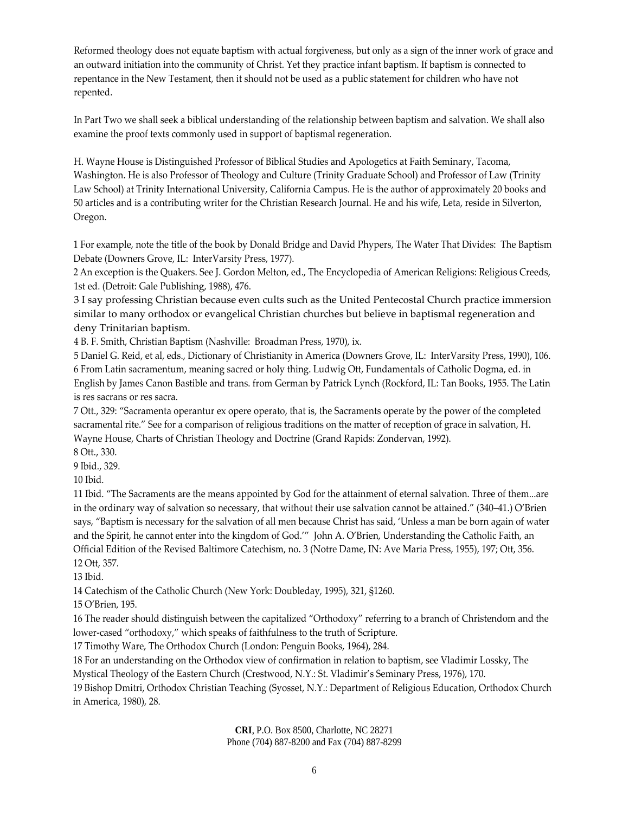Reformed theology does not equate baptism with actual forgiveness, but only as a sign of the inner work of grace and an outward initiation into the community of Christ. Yet they practice infant baptism. If baptism is connected to repentance in the New Testament, then it should not be used as a public statement for children who have not repented.

In Part Two we shall seek a biblical understanding of the relationship between baptism and salvation. We shall also examine the proof texts commonly used in support of baptismal regeneration.

H. Wayne House is Distinguished Professor of Biblical Studies and Apologetics at Faith Seminary, Tacoma, Washington. He is also Professor of Theology and Culture (Trinity Graduate School) and Professor of Law (Trinity Law School) at Trinity International University, California Campus. He is the author of approximately 20 books and 50 articles and is a contributing writer for the Christian Research Journal. He and his wife, Leta, reside in Silverton, Oregon.

1 For example, note the title of the book by Donald Bridge and David Phypers, The Water That Divides: The Baptism Debate (Downers Grove, IL: InterVarsity Press, 1977).

2 An exception is the Quakers. See J. Gordon Melton, ed., The Encyclopedia of American Religions: Religious Creeds, 1st ed. (Detroit: Gale Publishing, 1988), 476.

3 I say professing Christian because even cults such as the United Pentecostal Church practice immersion similar to many orthodox or evangelical Christian churches but believe in baptismal regeneration and deny Trinitarian baptism.

4 B. F. Smith, Christian Baptism (Nashville: Broadman Press, 1970), ix.

5 Daniel G. Reid, et al, eds., Dictionary of Christianity in America (Downers Grove, IL: InterVarsity Press, 1990), 106. 6 From Latin sacramentum, meaning sacred or holy thing. Ludwig Ott, Fundamentals of Catholic Dogma, ed. in English by James Canon Bastible and trans. from German by Patrick Lynch (Rockford, IL: Tan Books, 1955. The Latin is res sacrans or res sacra.

7 Ott., 329: "Sacramenta operantur ex opere operato, that is, the Sacraments operate by the power of the completed sacramental rite." See for a comparison of religious traditions on the matter of reception of grace in salvation, H. Wayne House, Charts of Christian Theology and Doctrine (Grand Rapids: Zondervan, 1992).

8 Ott., 330.

9 Ibid., 329.

10 Ibid.

11 Ibid. "The Sacraments are the means appointed by God for the attainment of eternal salvation. Three of them...are in the ordinary way of salvation so necessary, that without their use salvation cannot be attained." (340–41.) O'Brien says, "Baptism is necessary for the salvation of all men because Christ has said, 'Unless a man be born again of water and the Spirit, he cannot enter into the kingdom of God.'" John A. O'Brien, Understanding the Catholic Faith, an Official Edition of the Revised Baltimore Catechism, no. 3 (Notre Dame, IN: Ave Maria Press, 1955), 197; Ott, 356. 12 Ott, 357.

13 Ibid.

14 Catechism of the Catholic Church (New York: Doubleday, 1995), 321, §1260.

15 O'Brien, 195.

16 The reader should distinguish between the capitalized "Orthodoxy" referring to a branch of Christendom and the lower-cased "orthodoxy," which speaks of faithfulness to the truth of Scripture.

17 Timothy Ware, The Orthodox Church (London: Penguin Books, 1964), 284.

18 For an understanding on the Orthodox view of confirmation in relation to baptism, see Vladimir Lossky, The

Mystical Theology of the Eastern Church (Crestwood, N.Y.: St. Vladimir's Seminary Press, 1976), 170.

19 Bishop Dmitri, Orthodox Christian Teaching (Syosset, N.Y.: Department of Religious Education, Orthodox Church in America, 1980), 28.